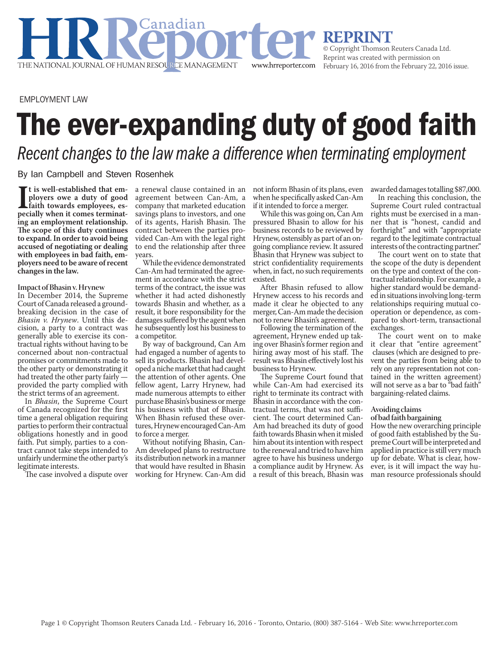**REPRINT**<br>© Copyright Thomson Reuters Canada Ltd. Reprint was created with permission on February 16, 2016 from the February 22, 2016 issue.

EMPLOYMENT LAW

## The ever-expanding duty of good faith

www.hrreporter.com

*Recent changes to the law make a difference when terminating employment*

By Ian Campbell and Steven Rosenhek

THE NATIONAL JOURNAL OF HUMAN RESOURCE MANAGEMENT

I is well-established that employees ove a duty of good<br>faith towards employees, es-<br>pecially when it comes terminat**t is well-established that employers owe a duty of good faith towards employees, esing an employment relationship. The scope of this duty continues to expand. In order to avoid being accused of negotiating or dealing with employees in bad faith, employers need to be aware of recent changes in the law.**

## **Impact of Bhasin v. Hrynew**

In December 2014, the Supreme Court of Canada released a groundbreaking decision in the case of *Bhasin v. Hrynew*. Until this decision, a party to a contract was generally able to exercise its contractual rights without having to be concerned about non-contractual promises or commitments made to the other party or demonstrating it had treated the other party fairly provided the party complied with the strict terms of an agreement.

In *Bhasin*, the Supreme Court of Canada recognized for the first time a general obligation requiring parties to perform their contractual obligations honestly and in good faith. Put simply, parties to a contract cannot take steps intended to unfairly undermine the other party's legitimate interests.

The case involved a dispute over

a renewal clause contained in an agreement between Can-Am, a company that marketed education savings plans to investors, and one of its agents, Harish Bhasin. The contract between the parties provided Can-Am with the legal right to end the relationship after three years.

.<br>Canadian

While the evidence demonstrated Can-Am had terminated the agreement in accordance with the strict terms of the contract, the issue was whether it had acted dishonestly towards Bhasin and whether, as a result, it bore responsibility for the damages suffered by the agent when he subsequently lost his business to a competitor.

By way of background, Can Am had engaged a number of agents to sell its products. Bhasin had developed a niche market that had caught the attention of other agents. One fellow agent, Larry Hrynew, had made numerous attempts to either purchase Bhasin's business or merge his business with that of Bhasin. When Bhasin refused these overtures, Hrynew encouraged Can-Am to force a merger.

Without notifying Bhasin, Can-Am developed plans to restructure its distribution network in a manner that would have resulted in Bhasin working for Hrynew. Can-Am did not inform Bhasin of its plans, even when he specifically asked Can-Am if it intended to force a merger.

While this was going on, Can Am pressured Bhasin to allow for his business records to be reviewed by Hrynew, ostensibly as part of an ongoing compliance review. It assured Bhasin that Hrynew was subject to strict confidentiality requirements when, in fact, no such requirements existed.

After Bhasin refused to allow Hrynew access to his records and made it clear he objected to any merger, Can-Am made the decision not to renew Bhasin's agreement.

Following the termination of the agreement, Hrynew ended up taking over Bhasin's former region and hiring away most of his staff. The result was Bhasin effectively lost his business to Hrynew.

The Supreme Court found that while Can-Am had exercised its right to terminate its contract with Bhasin in accordance with the contractual terms, that was not sufficient. The court determined Can-Am had breached its duty of good faith towards Bhasin when it misled him about its intention with respect to the renewal and tried to have him agree to have his business undergo a compliance audit by Hrynew. As a result of this breach, Bhasin was awarded damages totalling \$87,000.

In reaching this conclusion, the Supreme Court ruled contractual rights must be exercised in a manner that is "honest, candid and forthright" and with "appropriate regard to the legitimate contractual interests of the contracting partner."

The court went on to state that the scope of the duty is dependent on the type and context of the contractual relationship. For example, a higher standard would be demanded in situations involving long-term relationships requiring mutual cooperation or dependence, as compared to short-term, transactional exchanges.

The court went on to make it clear that "entire agreement" clauses (which are designed to prevent the parties from being able to rely on any representation not contained in the written agreement) will not serve as a bar to "bad faith" bargaining-related claims.

## **Avoiding claims**

## **of bad faith bargaining**

How the new overarching principle of good faith established by the Supreme Court will be interpreted and applied in practice is still very much up for debate. What is clear, however, is it will impact the way human resource professionals should